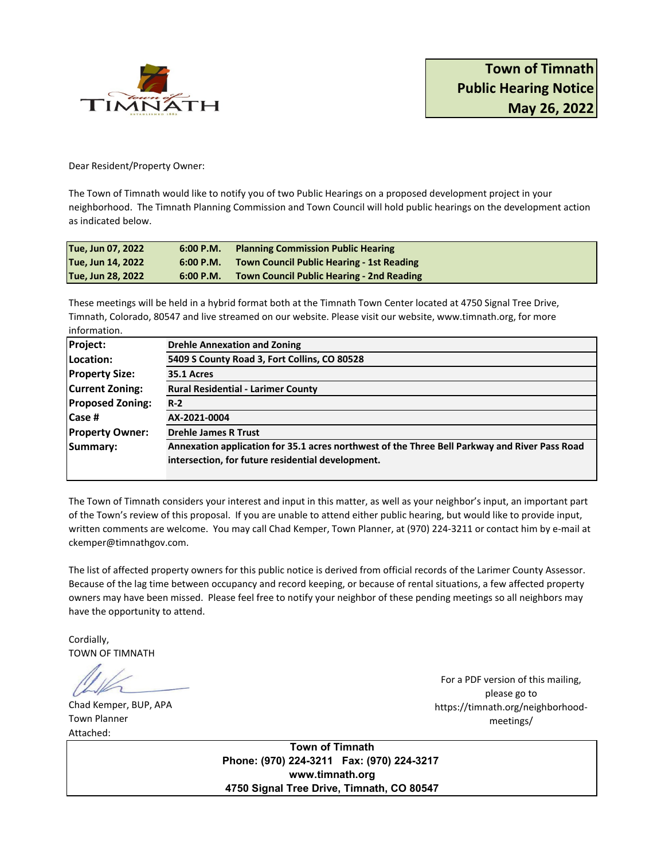

Dear Resident/Property Owner:

The Town of Timnath would like to notify you of two Public Hearings on a proposed development project in your neighborhood. The Timnath Planning Commission and Town Council will hold public hearings on the development action as indicated below.

| Tue, Jun 07, 2022 |           | 6:00 P.M. Planning Commission Public Hearing        |
|-------------------|-----------|-----------------------------------------------------|
| Tue, Jun 14, 2022 |           | 6:00 P.M. Town Council Public Hearing - 1st Reading |
| Tue, Jun 28, 2022 | 6:00 P.M. | <b>Town Council Public Hearing - 2nd Reading</b>    |

These meetings will be held in a hybrid format both at the Timnath Town Center located at 4750 Signal Tree Drive, Timnath, Colorado, 80547 and live streamed on our website. Please visit our website, www.timnath.org, for more information.

| <b>Drehle Annexation and Zoning</b>                                                           |  |  |
|-----------------------------------------------------------------------------------------------|--|--|
| 5409 S County Road 3, Fort Collins, CO 80528                                                  |  |  |
| 35.1 Acres                                                                                    |  |  |
| <b>Rural Residential - Larimer County</b>                                                     |  |  |
| $R-2$<br>AX-2021-0004                                                                         |  |  |
|                                                                                               |  |  |
| Annexation application for 35.1 acres northwest of the Three Bell Parkway and River Pass Road |  |  |
| intersection, for future residential development.                                             |  |  |
|                                                                                               |  |  |

The Town of Timnath considers your interest and input in this matter, as well as your neighbor's input, an important part of the Town's review of this proposal. If you are unable to attend either public hearing, but would like to provide input, written comments are welcome. You may call Chad Kemper, Town Planner, at (970) 224-3211 or contact him by e-mail at ckemper@timnathgov.com.

The list of affected property owners for this public notice is derived from official records of the Larimer County Assessor. Because of the lag time between occupancy and record keeping, or because of rental situations, a few affected property owners may have been missed. Please feel free to notify your neighbor of these pending meetings so all neighbors may have the opportunity to attend.

Cordially, TOWN OF TIMNATH

Chad Kemper, BUP, APA Town Planner Attached:

For a PDF version of this mailing, please go to https://timnath.org/neighborhoodmeetings/

**Town of Timnath Phone: (970) 224-3211 Fax: (970) 224-3217 www.timnath.org 4750 Signal Tree Drive, Timnath, CO 80547**